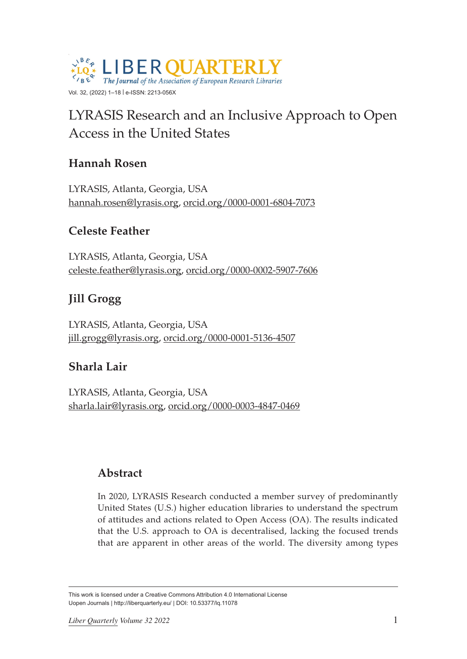

# LYRASIS Research and an Inclusive Approach to Open Access in the United States

# **Hannah Rosen**

LYRASIS, Atlanta, Georgia, USA [hannah.rosen@lyrasis.org](mailto:hannah.rosen@lyrasis.org), [orcid.org/0000-0001-6804-7073](https://orcid.org/0000-0001-6804-7073)

# **Celeste Feather**

LYRASIS, Atlanta, Georgia, USA [celeste.feather@lyrasis.org](mailto:celeste.feather@lyrasis.org), [orcid.org/0000-0002-5907-7606](https://orcid.org/0000-0002-5907-7606)

# **Jill Grogg**

LYRASIS, Atlanta, Georgia, USA [jill.grogg@lyrasis.org,](mailto:jill.grogg@lyrasis.org) [orcid.org/0000-0001-5136-4507](https://orcid.org/0000-0001-5136-4507)

# **Sharla Lair**

LYRASIS, Atlanta, Georgia, USA [sharla.lair@lyrasis.org,](mailto:sharla.lair@lyrasis.org) [orcid.org/0000-0003-4847-0469](https://orcid.org/0000-0003-4847-0469)

# **Abstract**

In 2020, LYRASIS Research conducted a member survey of predominantly United States (U.S.) higher education libraries to understand the spectrum of attitudes and actions related to Open Access (OA). The results indicated that the U.S. approach to OA is decentralised, lacking the focused trends that are apparent in other areas of the world. The diversity among types

This work is licensed under a Creative Commons Attribution 4.0 International License Uopen Journals | <http://liberquarterly.eu>/ | DOI: 10.53377/lq.11078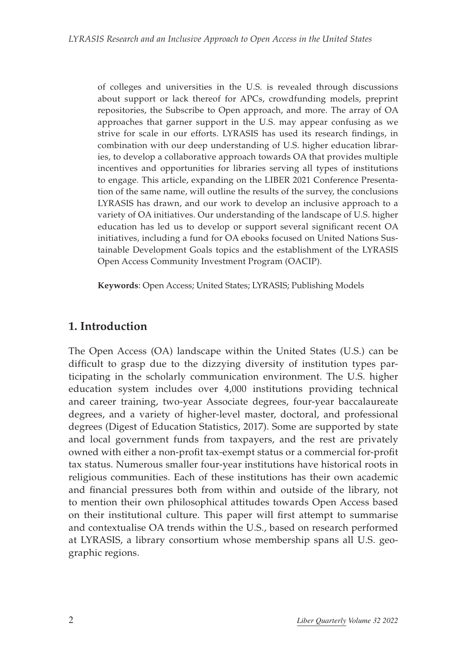of colleges and universities in the U.S. is revealed through discussions about support or lack thereof for APCs, crowdfunding models, preprint repositories, the Subscribe to Open approach, and more. The array of OA approaches that garner support in the U.S. may appear confusing as we strive for scale in our efforts. LYRASIS has used its research findings, in combination with our deep understanding of U.S. higher education libraries, to develop a collaborative approach towards OA that provides multiple incentives and opportunities for libraries serving all types of institutions to engage. This article, expanding on the LIBER 2021 Conference Presentation of the same name, will outline the results of the survey, the conclusions LYRASIS has drawn, and our work to develop an inclusive approach to a variety of OA initiatives. Our understanding of the landscape of U.S. higher education has led us to develop or support several significant recent OA initiatives, including a fund for OA ebooks focused on United Nations Sustainable Development Goals topics and the establishment of the LYRASIS Open Access Community Investment Program (OACIP).

**Keywords**: Open Access; United States; LYRASIS; Publishing Models

### **1. Introduction**

The Open Access (OA) landscape within the United States (U.S.) can be difficult to grasp due to the dizzying diversity of institution types participating in the scholarly communication environment. The U.S. higher education system includes over 4,000 institutions providing technical and career training, two-year Associate degrees, four-year baccalaureate degrees, and a variety of higher-level master, doctoral, and professional degrees (Digest of Education Statistics, 2017). Some are supported by state and local government funds from taxpayers, and the rest are privately owned with either a non-profit tax-exempt status or a commercial for-profit tax status. Numerous smaller four-year institutions have historical roots in religious communities. Each of these institutions has their own academic and financial pressures both from within and outside of the library, not to mention their own philosophical attitudes towards Open Access based on their institutional culture. This paper will first attempt to summarise and contextualise OA trends within the U.S., based on research performed at LYRASIS, a library consortium whose membership spans all U.S. geographic regions.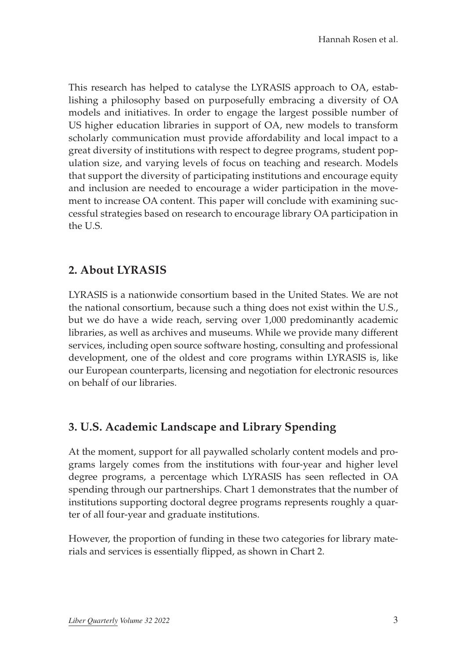This research has helped to catalyse the LYRASIS approach to OA, establishing a philosophy based on purposefully embracing a diversity of OA models and initiatives. In order to engage the largest possible number of US higher education libraries in support of OA, new models to transform scholarly communication must provide affordability and local impact to a great diversity of institutions with respect to degree programs, student population size, and varying levels of focus on teaching and research. Models that support the diversity of participating institutions and encourage equity and inclusion are needed to encourage a wider participation in the movement to increase OA content. This paper will conclude with examining successful strategies based on research to encourage library OA participation in the U.S.

### **2. About LYRASIS**

LYRASIS is a nationwide consortium based in the United States. We are not the national consortium, because such a thing does not exist within the U.S., but we do have a wide reach, serving over 1,000 predominantly academic libraries, as well as archives and museums. While we provide many different services, including open source software hosting, consulting and professional development, one of the oldest and core programs within LYRASIS is, like our European counterparts, licensing and negotiation for electronic resources on behalf of our libraries.

# **3. U.S. Academic Landscape and Library Spending**

At the moment, support for all paywalled scholarly content models and programs largely comes from the institutions with four-year and higher level degree programs, a percentage which LYRASIS has seen reflected in OA spending through our partnerships. Chart 1 demonstrates that the number of institutions supporting doctoral degree programs represents roughly a quarter of all four-year and graduate institutions.

However, the proportion of funding in these two categories for library materials and services is essentially flipped, as shown in Chart 2.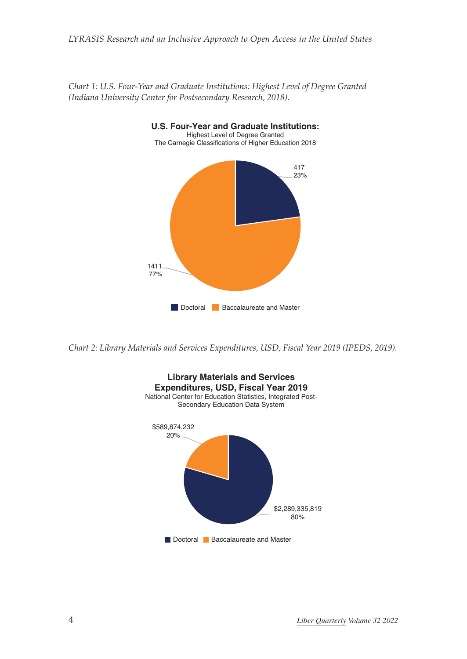

*Chart 1: U.S. Four-Year and Graduate Institutions: Highest Level of Degree Granted (Indiana University Center for Postsecondary Research, 2018).*

*Chart 2: Library Materials and Services Expenditures, USD, Fiscal Year 2019 (IPEDS, 2019).*

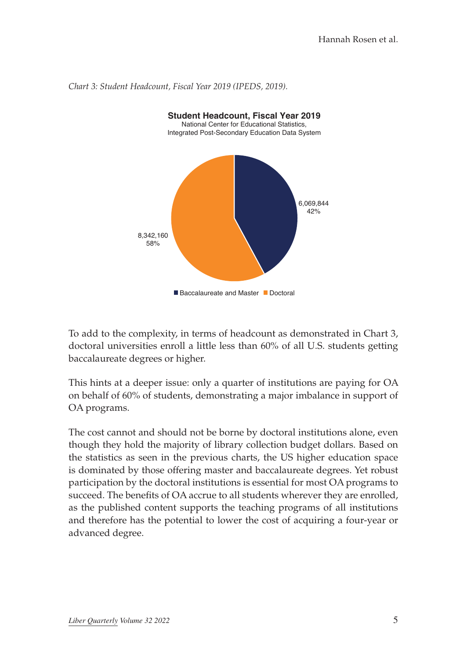

*Chart 3: Student Headcount, Fiscal Year 2019 (IPEDS, 2019).*

To add to the complexity, in terms of headcount as demonstrated in Chart 3, doctoral universities enroll a little less than 60% of all U.S. students getting baccalaureate degrees or higher.

This hints at a deeper issue: only a quarter of institutions are paying for OA on behalf of 60% of students, demonstrating a major imbalance in support of OA programs.

The cost cannot and should not be borne by doctoral institutions alone, even though they hold the majority of library collection budget dollars. Based on the statistics as seen in the previous charts, the US higher education space is dominated by those offering master and baccalaureate degrees. Yet robust participation by the doctoral institutions is essential for most OA programs to succeed. The benefits of OA accrue to all students wherever they are enrolled, as the published content supports the teaching programs of all institutions and therefore has the potential to lower the cost of acquiring a four-year or advanced degree.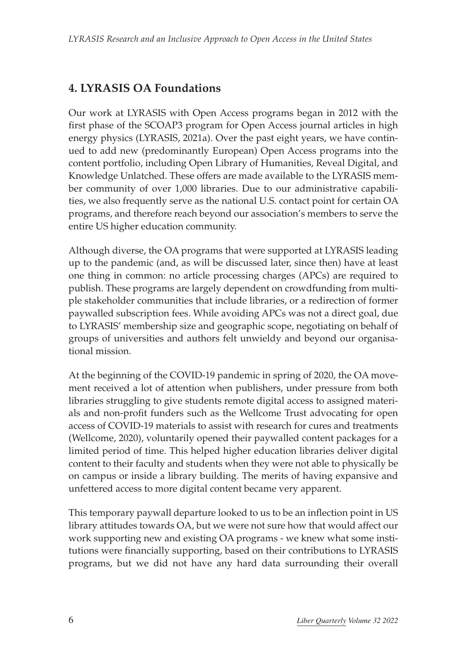# **4. LYRASIS OA Foundations**

Our work at LYRASIS with Open Access programs began in 2012 with the first phase of the SCOAP3 program for Open Access journal articles in high energy physics (LYRASIS, 2021a). Over the past eight years, we have continued to add new (predominantly European) Open Access programs into the content portfolio, including Open Library of Humanities, Reveal Digital, and Knowledge Unlatched. These offers are made available to the LYRASIS member community of over 1,000 libraries. Due to our administrative capabilities, we also frequently serve as the national U.S. contact point for certain OA programs, and therefore reach beyond our association's members to serve the entire US higher education community.

Although diverse, the OA programs that were supported at LYRASIS leading up to the pandemic (and, as will be discussed later, since then) have at least one thing in common: no article processing charges (APCs) are required to publish. These programs are largely dependent on crowdfunding from multiple stakeholder communities that include libraries, or a redirection of former paywalled subscription fees. While avoiding APCs was not a direct goal, due to LYRASIS' membership size and geographic scope, negotiating on behalf of groups of universities and authors felt unwieldy and beyond our organisational mission.

At the beginning of the COVID-19 pandemic in spring of 2020, the OA movement received a lot of attention when publishers, under pressure from both libraries struggling to give students remote digital access to assigned materials and non-profit funders such as the Wellcome Trust [advocating for open](https://wellcome.org/coronavirus-covid-19/open-data)  access of COVID-19 [materials to assist with research for cures and treatments](https://wellcome.org/coronavirus-covid-19/open-data)  (Wellcome, 2020), voluntarily opened their paywalled content packages for a limited period of time. This helped higher education libraries deliver digital content to their faculty and students when they were not able to physically be on campus or inside a library building. The merits of having expansive and unfettered access to more digital content became very apparent.

This temporary paywall departure looked to us to be an inflection point in US library attitudes towards OA, but we were not sure how that would affect our work supporting new and existing OA programs - we knew what some institutions were financially supporting, based on their contributions to LYRASIS programs, but we did not have any hard data surrounding their overall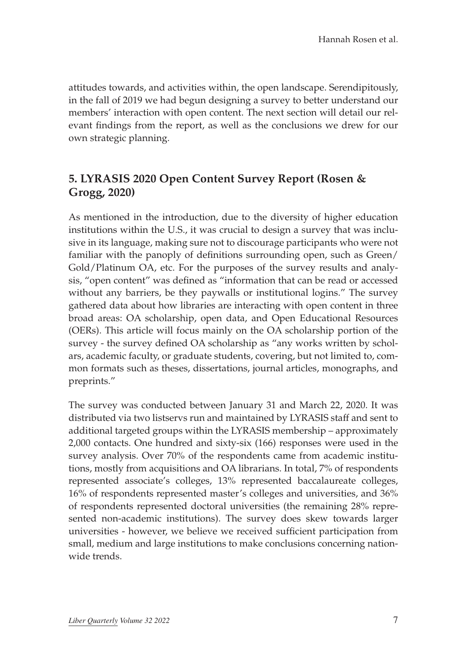attitudes towards, and activities within, the open landscape. Serendipitously, in the fall of 2019 we had begun designing a survey to better understand our members' interaction with open content. The next section will detail our relevant findings from the report, as well as the conclusions we drew for our own strategic planning.

### **5. [LYRASIS 2020 Open Content Survey Report](https://doi.org/10.48609/nwr2-9313) (Rosen & Grogg, 2020)**

As mentioned in the introduction, due to the diversity of higher education institutions within the U.S., it was crucial to design a survey that was inclusive in its language, making sure not to discourage participants who were not familiar with the panoply of definitions surrounding open, such as Green/ Gold/Platinum OA, etc. For the purposes of the survey results and analysis, "open content" was defined as "information that can be read or accessed without any barriers, be they paywalls or institutional logins." The survey gathered data about how libraries are interacting with open content in three broad areas: OA scholarship, open data, and Open Educational Resources (OERs). This article will focus mainly on the OA scholarship portion of the survey - the survey defined OA scholarship as "any works written by scholars, academic faculty, or graduate students, covering, but not limited to, common formats such as theses, dissertations, journal articles, monographs, and preprints."

The survey was conducted between January 31 and March 22, 2020. It was distributed via two listservs run and maintained by LYRASIS staff and sent to additional targeted groups within the LYRASIS membership – approximately 2,000 contacts. One hundred and sixty-six (166) responses were used in the survey analysis. Over 70% of the respondents came from academic institutions, mostly from acquisitions and OA librarians. In total, 7% of respondents represented associate's colleges, 13% represented baccalaureate colleges, 16% of respondents represented master's colleges and universities, and 36% of respondents represented doctoral universities (the remaining 28% represented non-academic institutions). The survey does skew towards larger universities - however, we believe we received sufficient participation from small, medium and large institutions to make conclusions concerning nationwide trends.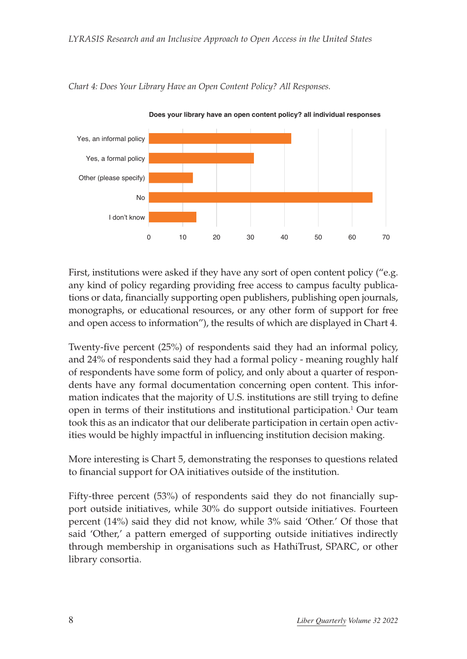

*Chart 4: Does Your Library Have an Open Content Policy? All Responses.*

First, institutions were asked if they have any sort of open content policy ("e.g. any kind of policy regarding providing free access to campus faculty publications or data, financially supporting open publishers, publishing open journals, monographs, or educational resources, or any other form of support for free and open access to information"), the results of which are displayed in Chart 4.

Twenty-five percent (25%) of respondents said they had an informal policy, and 24% of respondents said they had a formal policy - meaning roughly half of respondents have some form of policy, and only about a quarter of respondents have any formal documentation concerning open content. This information indicates that the majority of U.S. institutions are still trying to define open in terms of their institutions and institutional participation.<sup>1</sup> Our team took this as an indicator that our deliberate participation in certain open activities would be highly impactful in influencing institution decision making.

More interesting is Chart 5, demonstrating the responses to questions related to financial support for OA initiatives outside of the institution.

Fifty-three percent (53%) of respondents said they do not financially support outside initiatives, while 30% do support outside initiatives. Fourteen percent (14%) said they did not know, while 3% said 'Other.' Of those that said 'Other,' a pattern emerged of supporting outside initiatives indirectly through membership in organisations such as HathiTrust, SPARC, or other library consortia.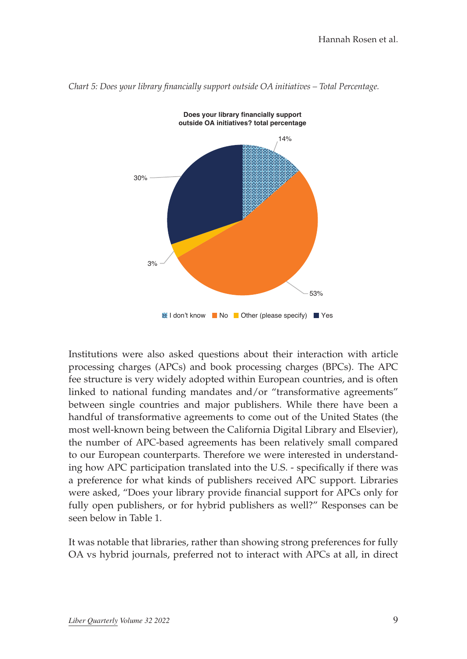

*Chart 5: Does your library financially support outside OA initiatives – Total Percentage.*

Institutions were also asked questions about their interaction with article processing charges (APCs) and book processing charges (BPCs). The APC fee structure is very widely adopted within European countries, and is often linked to national funding mandates and/or "transformative agreements" between single countries and major publishers. While there have been a handful of transformative agreements to come out of the United States (the most well-known being between the California Digital Library and Elsevier), the number of APC-based agreements has been relatively small compared to our European counterparts. Therefore we were interested in understanding how APC participation translated into the U.S. - specifically if there was a preference for what kinds of publishers received APC support. Libraries were asked, "Does your library provide financial support for APCs only for fully open publishers, or for hybrid publishers as well?" Responses can be seen below in Table 1.

It was notable that libraries, rather than showing strong preferences for fully OA vs hybrid journals, preferred not to interact with APCs at all, in direct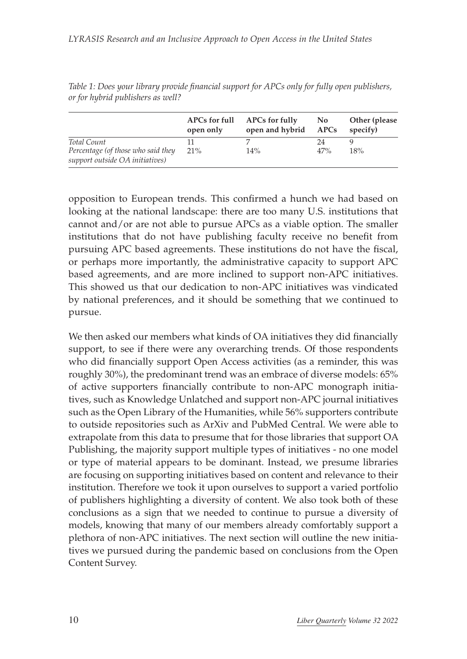|                                                                       | open only | APCs for full APCs for fully<br>open and hybrid APCs | No. | Other (please)<br>specify) |
|-----------------------------------------------------------------------|-----------|------------------------------------------------------|-----|----------------------------|
| Total Count                                                           |           |                                                      | 24  |                            |
| Percentage (of those who said they<br>support outside OA initiatives) | 21%       | 14%                                                  | 47% | 18%                        |

*Table 1: Does your library provide financial support for APCs only for fully open publishers, or for hybrid publishers as well?*

opposition to European trends. This confirmed a hunch we had based on looking at the national landscape: there are too many U.S. institutions that cannot and/or are not able to pursue APCs as a viable option. The smaller institutions that do not have publishing faculty receive no benefit from pursuing APC based agreements. These institutions do not have the fiscal, or perhaps more importantly, the administrative capacity to support APC based agreements, and are more inclined to support non-APC initiatives. This showed us that our dedication to non-APC initiatives was vindicated by national preferences, and it should be something that we continued to pursue.

We then asked our members what kinds of OA initiatives they did financially support, to see if there were any overarching trends. Of those respondents who did financially support Open Access activities (as a reminder, this was roughly 30%), the predominant trend was an embrace of diverse models: 65% of active supporters financially contribute to non-APC monograph initiatives, such as Knowledge Unlatched and support non-APC journal initiatives such as the Open Library of the Humanities, while 56% supporters contribute to outside repositories such as ArXiv and PubMed Central. We were able to extrapolate from this data to presume that for those libraries that support OA Publishing, the majority support multiple types of initiatives - no one model or type of material appears to be dominant. Instead, we presume libraries are focusing on supporting initiatives based on content and relevance to their institution. Therefore we took it upon ourselves to support a varied portfolio of publishers highlighting a diversity of content. We also took both of these conclusions as a sign that we needed to continue to pursue a diversity of models, knowing that many of our members already comfortably support a plethora of non-APC initiatives. The next section will outline the new initiatives we pursued during the pandemic based on conclusions from the Open Content Survey.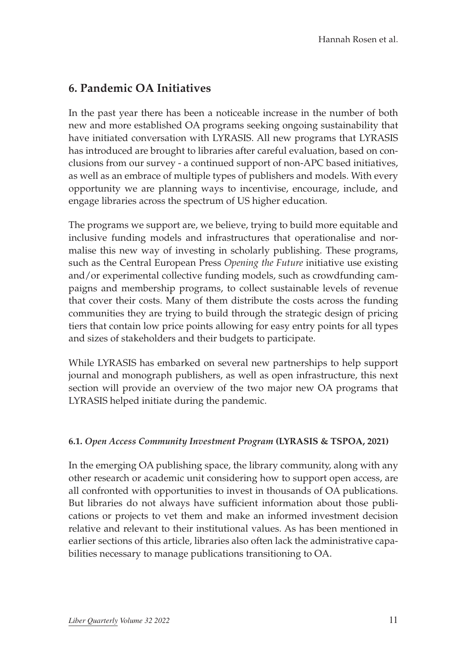# **6. Pandemic OA Initiatives**

In the past year there has been a noticeable increase in the number of both new and more established OA programs seeking ongoing sustainability that have initiated conversation with LYRASIS. All new programs that LYRASIS has introduced are brought to libraries after careful evaluation, based on conclusions from our survey - a continued support of non-APC based initiatives, as well as an embrace of multiple types of publishers and models. With every opportunity we are planning ways to incentivise, encourage, include, and engage libraries across the spectrum of US higher education.

The programs we support are, we believe, trying to build more equitable and inclusive funding models and infrastructures that operationalise and normalise this new way of investing in scholarly publishing. These programs, such as the Central European Press *Opening the Future* initiative use existing and/or experimental collective funding models, such as crowdfunding campaigns and membership programs, to collect sustainable levels of revenue that cover their costs. Many of them distribute the costs across the funding communities they are trying to build through the strategic design of pricing tiers that contain low price points allowing for easy entry points for all types and sizes of stakeholders and their budgets to participate.

While LYRASIS has embarked on several new partnerships to help support journal and monograph publishers, as well as open infrastructure, this next section will provide an overview of the two major new OA programs that LYRASIS helped initiate during the pandemic.

#### **6.1.** *[Open Access Community Investment Program](https://www.lyrasis.org/content/Pages/oacip.aspx)* **(LYRASIS & TSPOA, 2021)**

In the emerging OA publishing space, the library community, along with any other research or academic unit considering how to support open access, are all confronted with opportunities to invest in thousands of OA publications. But libraries do not always have sufficient information about those publications or projects to vet them and make an informed investment decision relative and relevant to their institutional values. As has been mentioned in earlier sections of this article, libraries also often lack the administrative capabilities necessary to manage publications transitioning to OA.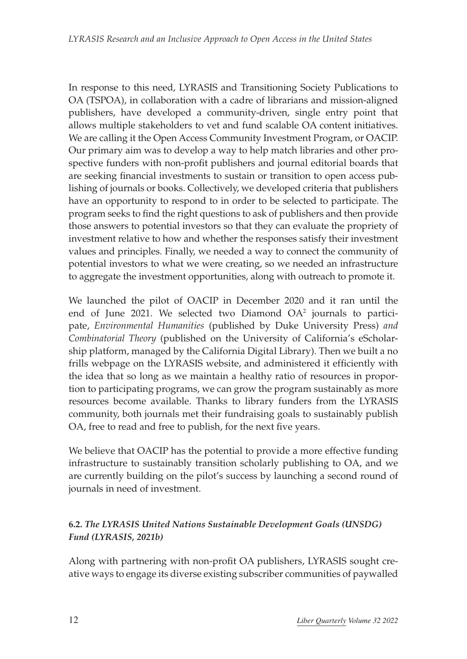In response to this need, LYRASIS and Transitioning Society Publications to OA (TSPOA), in collaboration with a cadre of librarians and mission-aligned publishers, have developed a community-driven, single entry point that allows multiple stakeholders to vet and fund scalable OA content initiatives. We are calling it the Open Access Community Investment Program, or OACIP. Our primary aim was to develop a way to help match libraries and other prospective funders with non-profit publishers and journal editorial boards that are seeking financial investments to sustain or transition to open access publishing of journals or books. Collectively, we developed criteria that publishers have an opportunity to respond to in order to be selected to participate. The program seeks to find the right questions to ask of publishers and then provide those answers to potential investors so that they can evaluate the propriety of investment relative to how and whether the responses satisfy their investment values and principles. Finally, we needed a way to connect the community of potential investors to what we were creating, so we needed an infrastructure to aggregate the investment opportunities, along with outreach to promote it.

We launched the pilot of OACIP in December 2020 and it ran until the end of June 2021. We selected two Diamond OA2 journals to participate, *Environmental Humanities* (published by Duke University Press) *and Combinatorial Theory* (published on the University of California's eScholarship platform, managed by the California Digital Library). Then we built a no frills webpage on the LYRASIS website, and administered it efficiently with the idea that so long as we maintain a healthy ratio of resources in proportion to participating programs, we can grow the program sustainably as more resources become available. Thanks to library funders from the LYRASIS community, both journals met their fundraising goals to sustainably publish OA, free to read and free to publish, for the next five years.

We believe that OACIP has the potential to provide a more effective funding infrastructure to sustainably transition scholarly publishing to OA, and we are currently building on the pilot's success by launching a second round of journals in need of investment.

#### **6.2.** *[The LYRASIS United Nations Sustainable Development Goals \(UNSDG\)](https://www.lyrasis.org/content/Pages/product-details.aspx%253Fpid%253D6D826BB2-7440-EB11-80ED-00155DE5EC03)  [Fund](https://www.lyrasis.org/content/Pages/product-details.aspx%253Fpid%253D6D826BB2-7440-EB11-80ED-00155DE5EC03) (LYRASIS, 2021b)*

Along with partnering with non-profit OA publishers, LYRASIS sought creative ways to engage its diverse existing subscriber communities of paywalled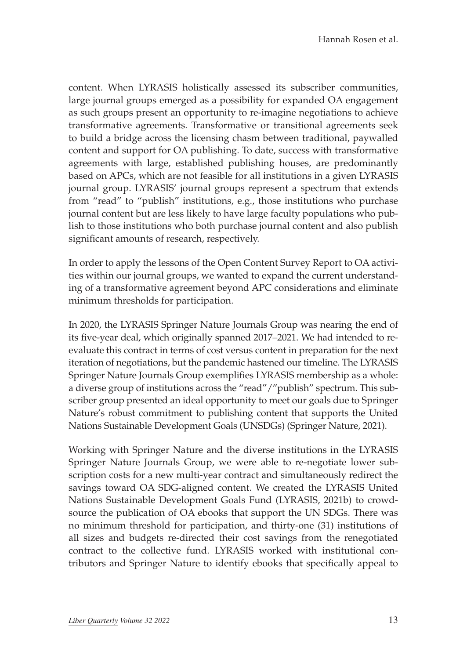content. When LYRASIS holistically assessed its subscriber communities, large journal groups emerged as a possibility for expanded OA engagement as such groups present an opportunity to re-imagine negotiations to achieve transformative agreements. Transformative or transitional agreements seek to build a bridge across the licensing chasm between traditional, paywalled content and support for OA publishing. To date, success with transformative agreements with large, established publishing houses, are predominantly based on APCs, which are not feasible for all institutions in a given LYRASIS journal group. LYRASIS' journal groups represent a spectrum that extends from "read" to "publish" institutions, e.g., those institutions who purchase journal content but are less likely to have large faculty populations who publish to those institutions who both purchase journal content and also publish significant amounts of research, respectively.

In order to apply the lessons of the Open Content Survey Report to OA activities within our journal groups, we wanted to expand the current understanding of a transformative agreement beyond APC considerations and eliminate minimum thresholds for participation.

In 2020, the LYRASIS Springer Nature Journals Group was nearing the end of its five-year deal, which originally spanned 2017–2021. We had intended to reevaluate this contract in terms of cost versus content in preparation for the next iteration of negotiations, but the pandemic hastened our timeline. The LYRASIS Springer Nature Journals Group exemplifies LYRASIS membership as a whole: a diverse group of institutions across the "read"/"publish" spectrum. This subscriber group presented an ideal opportunity to meet our goals due to Springer Nature's [robust commitment](https://www.springernature.com/gp/researchers/sdg-programme) to publishing content that supports the United Nations Sustainable Development Goals (UNSDGs) (Springer Nature, 2021).

Working with Springer Nature and the diverse institutions in the LYRASIS Springer Nature Journals Group, we were able to re-negotiate lower subscription costs for a new multi-year contract and simultaneously redirect the savings toward OA SDG-aligned content. We created the LYRASIS United Nations Sustainable Development Goals Fund (LYRASIS, 2021b) to crowdsource the publication of OA ebooks that support the UN SDGs. There was no minimum threshold for participation, and thirty-one (31) institutions of all sizes and budgets re-directed their cost savings from the renegotiated contract to the collective fund. LYRASIS worked with institutional contributors and Springer Nature to identify ebooks that specifically appeal to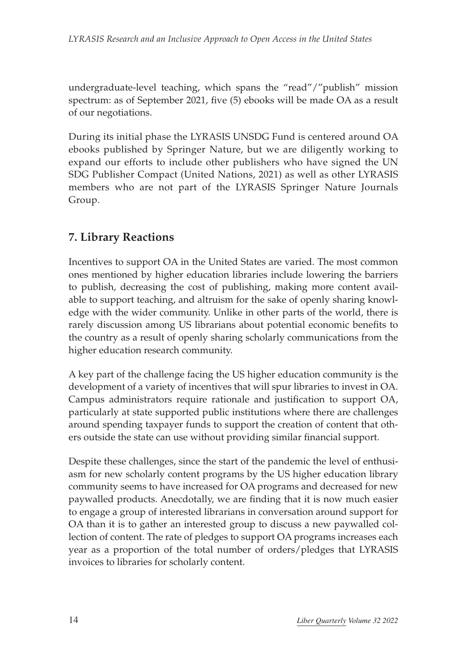undergraduate-level teaching, which spans the "read"/"publish" mission spectrum: as of September 2021, five (5) ebooks will be made OA as a result of our negotiations.

During its initial phase the LYRASIS UNSDG Fund is centered around OA ebooks published by Springer Nature, but we are diligently working to expand our efforts to include other publishers who have signed the [UN](https://www.un.org/sustainabledevelopment/sdg-publishers-compact/) [SDG Publisher Compact](https://www.un.org/sustainabledevelopment/sdg-publishers-compact/) (United Nations, 2021) as well as other LYRASIS members who are not part of the LYRASIS Springer Nature Journals Group.

# **7. Library Reactions**

Incentives to support OA in the United States are varied. The most common ones mentioned by higher education libraries include lowering the barriers to publish, decreasing the cost of publishing, making more content available to support teaching, and altruism for the sake of openly sharing knowledge with the wider community. Unlike in other parts of the world, there is rarely discussion among US librarians about potential economic benefits to the country as a result of openly sharing scholarly communications from the higher education research community.

A key part of the challenge facing the US higher education community is the development of a variety of incentives that will spur libraries to invest in OA. Campus administrators require rationale and justification to support OA, particularly at state supported public institutions where there are challenges around spending taxpayer funds to support the creation of content that others outside the state can use without providing similar financial support.

Despite these challenges, since the start of the pandemic the level of enthusiasm for new scholarly content programs by the US higher education library community seems to have increased for OA programs and decreased for new paywalled products. Anecdotally, we are finding that it is now much easier to engage a group of interested librarians in conversation around support for OA than it is to gather an interested group to discuss a new paywalled collection of content. The rate of pledges to support OA programs increases each year as a proportion of the total number of orders/pledges that LYRASIS invoices to libraries for scholarly content.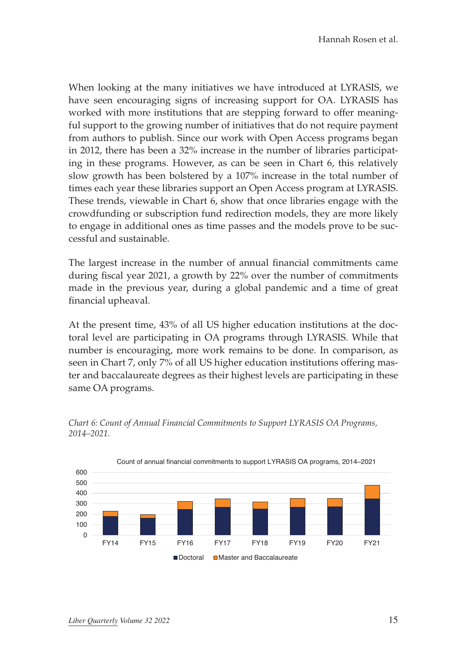When looking at the many initiatives we have introduced at LYRASIS, we have seen encouraging signs of increasing support for OA. LYRASIS has worked with more institutions that are stepping forward to offer meaningful support to the growing number of initiatives that do not require payment from authors to publish. Since our work with Open Access programs began in 2012, there has been a 32% increase in the number of libraries participating in these programs. However, as can be seen in Chart 6, this relatively slow growth has been bolstered by a 107% increase in the total number of times each year these libraries support an Open Access program at LYRASIS. These trends, viewable in Chart 6, show that once libraries engage with the crowdfunding or subscription fund redirection models, they are more likely to engage in additional ones as time passes and the models prove to be successful and sustainable.

The largest increase in the number of annual financial commitments came during fiscal year 2021, a growth by 22% over the number of commitments made in the previous year, during a global pandemic and a time of great financial upheaval.

At the present time, 43% of all US higher education institutions at the doctoral level are participating in OA programs through LYRASIS. While that number is encouraging, more work remains to be done. In comparison, as seen in Chart 7, only 7% of all US higher education institutions offering master and baccalaureate degrees as their highest levels are participating in these same OA programs.



*Chart 6: Count of Annual Financial Commitments to Support LYRASIS OA Programs, 2014–2021.*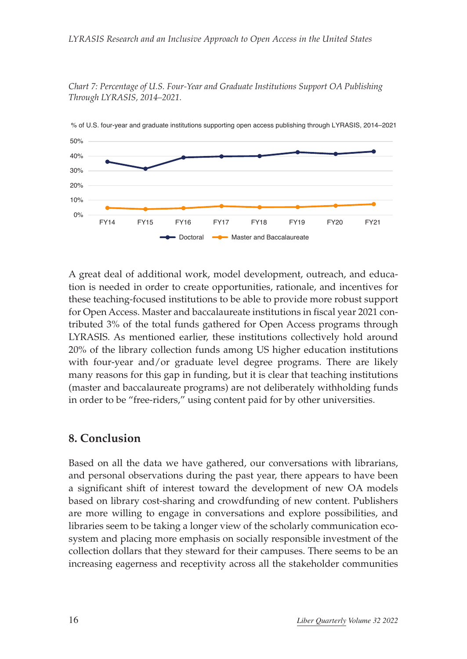#### *LYRASIS Research and an Inclusive Approach to Open Access in the United States*

*Chart 7: Percentage of U.S. Four-Year and Graduate Institutions Support OA Publishing Through LYRASIS, 2014–2021.*



A great deal of additional work, model development, outreach, and education is needed in order to create opportunities, rationale, and incentives for these teaching-focused institutions to be able to provide more robust support for Open Access. Master and baccalaureate institutions in fiscal year 2021 contributed 3% of the total funds gathered for Open Access programs through LYRASIS. As mentioned earlier, these institutions collectively hold around 20% of the library collection funds among US higher education institutions with four-year and/or graduate level degree programs. There are likely many reasons for this gap in funding, but it is clear that teaching institutions (master and baccalaureate programs) are not deliberately withholding funds in order to be "free-riders," using content paid for by other universities.

#### **8. Conclusion**

Based on all the data we have gathered, our conversations with librarians, and personal observations during the past year, there appears to have been a significant shift of interest toward the development of new OA models based on library cost-sharing and crowdfunding of new content. Publishers are more willing to engage in conversations and explore possibilities, and libraries seem to be taking a longer view of the scholarly communication ecosystem and placing more emphasis on socially responsible investment of the collection dollars that they steward for their campuses. There seems to be an increasing eagerness and receptivity across all the stakeholder communities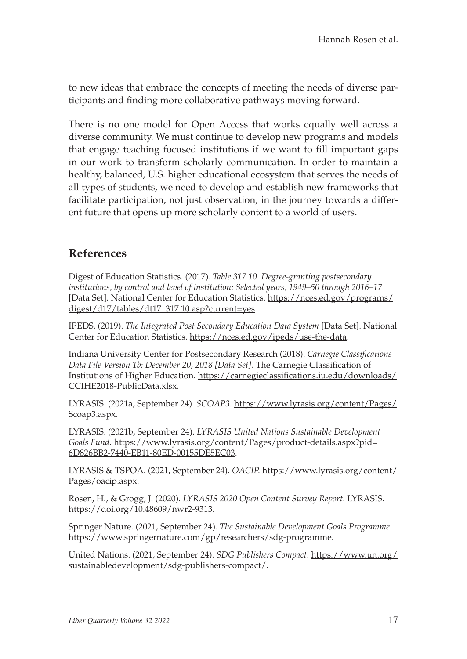to new ideas that embrace the concepts of meeting the needs of diverse participants and finding more collaborative pathways moving forward.

There is no one model for Open Access that works equally well across a diverse community. We must continue to develop new programs and models that engage teaching focused institutions if we want to fill important gaps in our work to transform scholarly communication. In order to maintain a healthy, balanced, U.S. higher educational ecosystem that serves the needs of all types of students, we need to develop and establish new frameworks that facilitate participation, not just observation, in the journey towards a different future that opens up more scholarly content to a world of users.

### **References**

Digest of Education Statistics. (2017). *Table 317.10. Degree-granting postsecondary institutions, by control and level of institution: Selected years, 1949–50 through 2016–17* [Data Set]. National Center for Education Statistics. [https://nces.ed.gov/programs/](https://nces.ed.gov/programs/digest/d17/tables/dt17_317.10.asp?current=yes) [digest/d17/tables/dt17\\_317.10.asp?current=yes](https://nces.ed.gov/programs/digest/d17/tables/dt17_317.10.asp?current=yes).

IPEDS. (2019). *The Integrated Post Secondary Education Data System* [Data Set]. National Center for Education Statistics. <https://nces.ed.gov/ipeds/use-the-data>.

Indiana University Center for Postsecondary Research (2018). *Carnegie Classifications Data File Version 1b: December 20, 2018 [Data Set].* The Carnegie Classification of Institutions of Higher Education. [https://carnegieclassifications.iu.edu/downloads/](https://carnegieclassifications.iu.edu/downloads/CCIHE2018-PublicData.xlsx) [CCIHE2018-PublicData.xlsx.](https://carnegieclassifications.iu.edu/downloads/CCIHE2018-PublicData.xlsx)

LYRASIS. (2021a, September 24). *SCOAP3.* [https://www.lyrasis.org/content/Pages/](https://www.lyrasis.org/content/Pages/Scoap3.aspx) [Scoap3.aspx.](https://www.lyrasis.org/content/Pages/Scoap3.aspx)

LYRASIS. (2021b, September 24). *LYRASIS United Nations Sustainable Development Goals Fund*. [https://www.lyrasis.org/content/Pages/product-details.aspx?pid=](https://www.lyrasis.org/content/Pages/product-details.aspx?pid=6D826BB2-7440-EB11-80ED-00155DE5EC03) [6D826BB2-7440-EB11-80ED-00155DE5EC03.](https://www.lyrasis.org/content/Pages/product-details.aspx?pid=6D826BB2-7440-EB11-80ED-00155DE5EC03)

LYRASIS & TSPOA. (2021, September 24). *OACIP.* [https://www.lyrasis.org/content/](https://www.lyrasis.org/content/Pages/oacip.aspx) [Pages/oacip.aspx](https://www.lyrasis.org/content/Pages/oacip.aspx).

Rosen, H., & Grogg, J. (2020). *LYRASIS 2020 Open Content Survey Report*. LYRASIS. <https://doi.org/10.48609/nwr2-9313>.

Springer Nature. (2021, September 24). *The Sustainable Development Goals Programme*. <https://www.springernature.com/gp/researchers/sdg-programme>.

United Nations. (2021, September 24). *SDG Publishers Compact*. [https://www.un.org/](https://www.un.org/sustainabledevelopment/sdg-publishers-compact/) [sustainabledevelopment/sdg-publishers-compact/.](https://www.un.org/sustainabledevelopment/sdg-publishers-compact/)